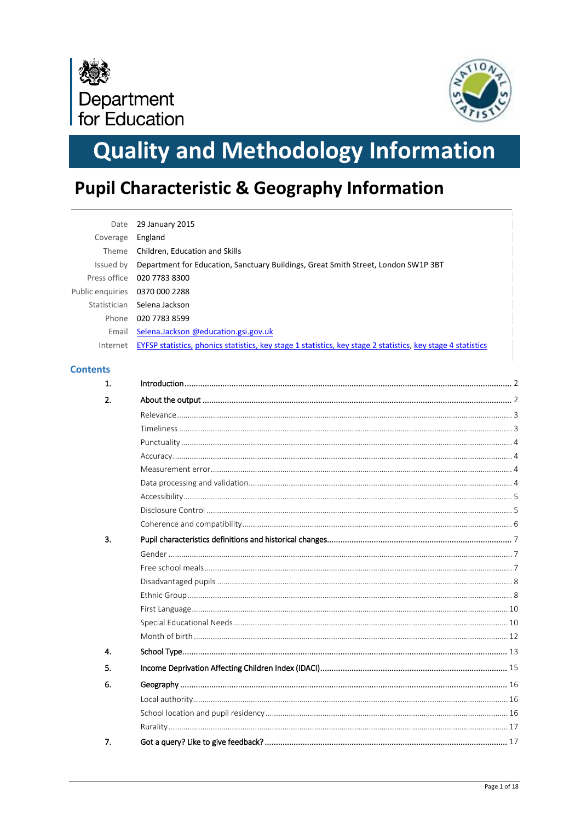



# **Quality and Methodology Information**

## **Pupil Characteristic & Geography Information**

| Date             | 29 January 2015                                                                                              |
|------------------|--------------------------------------------------------------------------------------------------------------|
| Coverage         | England                                                                                                      |
| Theme            | Children, Education and Skills                                                                               |
| Issued by        | Department for Education, Sanctuary Buildings, Great Smith Street, London SW1P 3BT                           |
| Press office     | 020 7783 8300                                                                                                |
| Public enquiries | 0370 000 2288                                                                                                |
| Statistician     | Selena Jackson                                                                                               |
| Phone            | 020 7783 8599                                                                                                |
| Email            | Selena.Jackson @education.gsi.gov.uk                                                                         |
| Internet         | EYFSP statistics, phonics statistics, key stage 1 statistics, key stage 2 statistics, key stage 4 statistics |
| <b>Contents</b>  |                                                                                                              |
| 1.               |                                                                                                              |
| 2.               |                                                                                                              |
|                  |                                                                                                              |
|                  |                                                                                                              |
|                  |                                                                                                              |
|                  |                                                                                                              |
|                  |                                                                                                              |
|                  |                                                                                                              |
|                  |                                                                                                              |
|                  |                                                                                                              |
|                  |                                                                                                              |
| 3.               |                                                                                                              |
|                  |                                                                                                              |
|                  |                                                                                                              |
|                  |                                                                                                              |
|                  |                                                                                                              |
|                  |                                                                                                              |
|                  |                                                                                                              |
|                  |                                                                                                              |
| 4.               |                                                                                                              |
| 5.               |                                                                                                              |
| 6.               |                                                                                                              |
|                  |                                                                                                              |
|                  |                                                                                                              |
|                  |                                                                                                              |
| 7.               |                                                                                                              |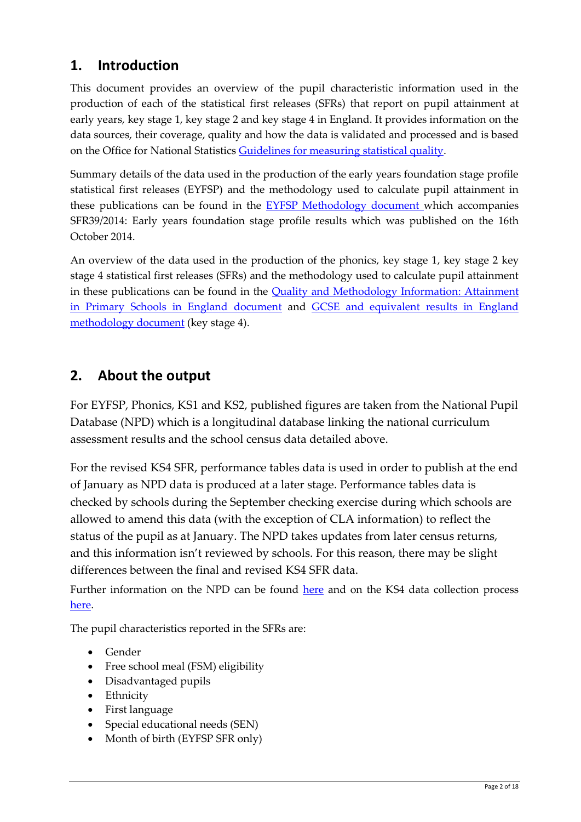## <span id="page-1-0"></span>**1. Introduction**

This document provides an overview of the pupil characteristic information used in the production of each of the statistical first releases (SFRs) that report on pupil attainment at early years, key stage 1, key stage 2 and key stage 4 in England. It provides information on the data sources, their coverage, quality and how the data is validated and processed and is based on the Office for National Statistic[s Guidelines for measuring statistical quality.](http://www.ons.gov.uk/ons/guide-method/method-quality/quality/guidelines-for-measuring-statistical-quality/index.html)

Summary details of the data used in the production of the early years foundation stage profile statistical first releases (EYFSP) and the methodology used to calculate pupil attainment in these publications can be found in the **EYFSP** Methodology document which accompanies SFR39/2014: Early years foundation stage profile results which was published on the 16th October 2014.

An overview of the data used in the production of the phonics, key stage 1, key stage 2 key stage 4 statistical first releases (SFRs) and the methodology used to calculate pupil attainment in these publications can be found in the [Quality and Methodology Information: Attainment](https://www.gov.uk/government/uploads/system/uploads/attachment_data/file/356946/SFR34_2014_Qualityandmethodology.pdf)  [in Primary Schools in England document](https://www.gov.uk/government/uploads/system/uploads/attachment_data/file/356946/SFR34_2014_Qualityandmethodology.pdf) and [GCSE and equivalent results in England](https://www.gov.uk/government/uploads/system/uploads/attachment_data/file/366555/SFR41_2014_QualityandMethodology.pdf)  [methodology document](https://www.gov.uk/government/uploads/system/uploads/attachment_data/file/366555/SFR41_2014_QualityandMethodology.pdf) (key stage 4).

### <span id="page-1-1"></span>**2. About the output**

For EYFSP, Phonics, KS1 and KS2, published figures are taken from the National Pupil Database (NPD) which is a longitudinal database linking the national curriculum assessment results and the school census data detailed above.

For the revised KS4 SFR, performance tables data is used in order to publish at the end of January as NPD data is produced at a later stage. Performance tables data is checked by schools during the September checking exercise during which schools are allowed to amend this data (with the exception of CLA information) to reflect the status of the pupil as at January. The NPD takes updates from later census returns, and this information isn't reviewed by schools. For this reason, there may be slight differences between the final and revised KS4 SFR data.

Further information on the NPD can be found [here](https://www.gov.uk/government/publications/national-pupil-database-user-guide-and-supporting-information) and on the KS4 data collection process [here.](https://www.gov.uk/government/uploads/system/uploads/attachment_data/file/366555/SFR41_2014_QualityandMethodology.pdf)

The pupil characteristics reported in the SFRs are:

- Gender
- Free school meal (FSM) eligibility
- Disadvantaged pupils
- Ethnicity
- First language
- Special educational needs (SEN)
- Month of birth (EYFSP SFR only)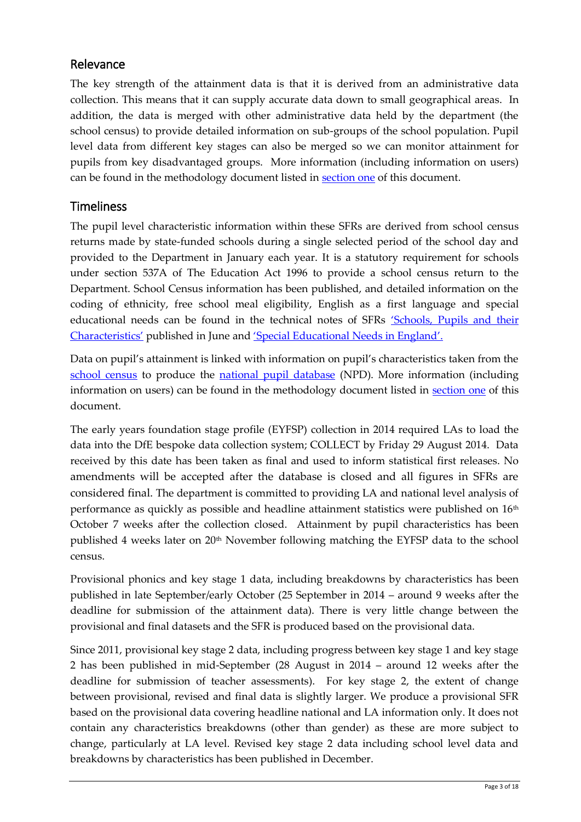#### <span id="page-2-0"></span>Relevance

The key strength of the attainment data is that it is derived from an administrative data collection. This means that it can supply accurate data down to small geographical areas. In addition, the data is merged with other administrative data held by the department (the school census) to provide detailed information on sub-groups of the school population. Pupil level data from different key stages can also be merged so we can monitor attainment for pupils from key disadvantaged groups. More information (including information on users) can be found in the methodology document listed in [section](#page-1-0) one of this document.

#### <span id="page-2-1"></span>Timeliness

The pupil level characteristic information within these SFRs are derived from school census returns made by state-funded schools during a single selected period of the school day and provided to the Department in January each year. It is a statutory requirement for schools under section 537A of The Education Act 1996 to provide a school census return to the Department. School Census information has been published, and detailed information on the coding of ethnicity, free school meal eligibility, English as a first language and special educational needs can be found in the technical notes of SFRs 'Schools, [Pupils and their](https://www.gov.uk/government/publications/schools-pupils-and-their-characteristics-january-2013)  [Characteristics'](https://www.gov.uk/government/publications/schools-pupils-and-their-characteristics-january-2013) published in June and ['Special Educational Needs in England'.](https://www.gov.uk/government/collections/statistics-special-educational-needs-sen)

Data on pupil's attainment is linked with information on pupil's characteristics taken from the [school census](https://www.gov.uk/government/collections/school-census) to produce the [national pupil database](https://www.gov.uk/national-pupil-database-apply-for-a-data-extract) (NPD). More information (including information on users) can be found in the methodology document listed in [section](#page-1-0) one of this document.

The early years foundation stage profile (EYFSP) collection in 2014 required LAs to load the data into the DfE bespoke data collection system; COLLECT by Friday 29 August 2014. Data received by this date has been taken as final and used to inform statistical first releases. No amendments will be accepted after the database is closed and all figures in SFRs are considered final. The department is committed to providing LA and national level analysis of performance as quickly as possible and headline attainment statistics were published on 16th October 7 weeks after the collection closed. Attainment by pupil characteristics has been published 4 weeks later on 20<sup>th</sup> November following matching the EYFSP data to the school census.

Provisional phonics and key stage 1 data, including breakdowns by characteristics has been published in late September/early October (25 September in 2014 – around 9 weeks after the deadline for submission of the attainment data). There is very little change between the provisional and final datasets and the SFR is produced based on the provisional data.

Since 2011, provisional key stage 2 data, including progress between key stage 1 and key stage 2 has been published in mid-September (28 August in 2014 – around 12 weeks after the deadline for submission of teacher assessments). For key stage 2, the extent of change between provisional, revised and final data is slightly larger. We produce a provisional SFR based on the provisional data covering headline national and LA information only. It does not contain any characteristics breakdowns (other than gender) as these are more subject to change, particularly at LA level. Revised key stage 2 data including school level data and breakdowns by characteristics has been published in December.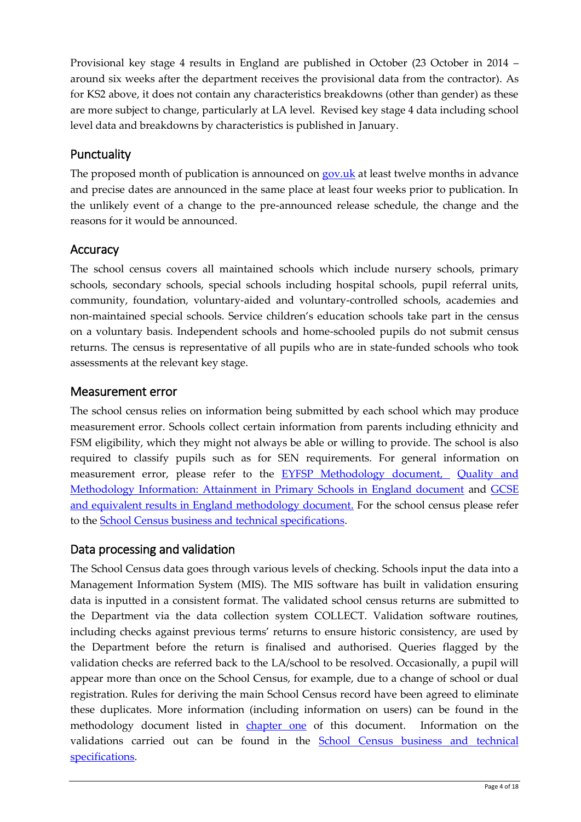Provisional key stage 4 results in England are published in October (23 October in 2014 – around six weeks after the department receives the provisional data from the contractor). As for KS2 above, it does not contain any characteristics breakdowns (other than gender) as these are more subject to change, particularly at LA level. Revised key stage 4 data including school level data and breakdowns by characteristics is published in January.

#### <span id="page-3-0"></span>**Punctuality**

The proposed month of publication is announced on [gov.uk](https://www.gov.uk/government/organisations/department-for-education/about/statistics#forthcoming-publications) at least twelve months in advance and precise dates are announced in the same place at least four weeks prior to publication. In the unlikely event of a change to the pre-announced release schedule, the change and the reasons for it would be announced.

#### <span id="page-3-1"></span>Accuracy

The school census covers all maintained schools which include nursery schools, primary schools, secondary schools, special schools including hospital schools, pupil referral units, community, foundation, voluntary-aided and voluntary-controlled schools, academies and non-maintained special schools. Service children's education schools take part in the census on a voluntary basis. Independent schools and home-schooled pupils do not submit census returns. The census is representative of all pupils who are in state-funded schools who took assessments at the relevant key stage.

#### <span id="page-3-2"></span>Measurement error

The school census relies on information being submitted by each school which may produce measurement error. Schools collect certain information from parents including ethnicity and FSM eligibility, which they might not always be able or willing to provide. The school is also required to classify pupils such as for SEN requirements. For general information on measurement error, please refer to the **EYFSP** Methodology document, Quality and [Methodology Information: Attainment in Primary Schools in England document](https://www.gov.uk/government/uploads/system/uploads/attachment_data/file/356946/SFR34_2014_Qualityandmethodology.pdf) and [GCSE](https://www.gov.uk/government/uploads/system/uploads/attachment_data/file/366555/SFR41_2014_QualityandMethodology.pdf)  [and equivalent results in England methodology document.](https://www.gov.uk/government/uploads/system/uploads/attachment_data/file/366555/SFR41_2014_QualityandMethodology.pdf) For the school census please refer to the [School Census business and technical specifications.](https://www.gov.uk/government/collections/school-census)

#### <span id="page-3-3"></span>Data processing and validation

<span id="page-3-4"></span>The School Census data goes through various levels of checking. Schools input the data into a Management Information System (MIS). The MIS software has built in validation ensuring data is inputted in a consistent format. The validated school census returns are submitted to the Department via the data collection system COLLECT. Validation software routines, including checks against previous terms' returns to ensure historic consistency, are used by the Department before the return is finalised and authorised. Queries flagged by the validation checks are referred back to the LA/school to be resolved. Occasionally, a pupil will appear more than once on the School Census, for example, due to a change of school or dual registration. Rules for deriving the main School Census record have been agreed to eliminate these duplicates. More information (including information on users) can be found in the methodology document listed in [chapter one](#page-1-0) of this document. Information on the validations carried out can be found in the [School Census business and technical](https://www.gov.uk/government/collections/school-census)  [specifications.](https://www.gov.uk/government/collections/school-census)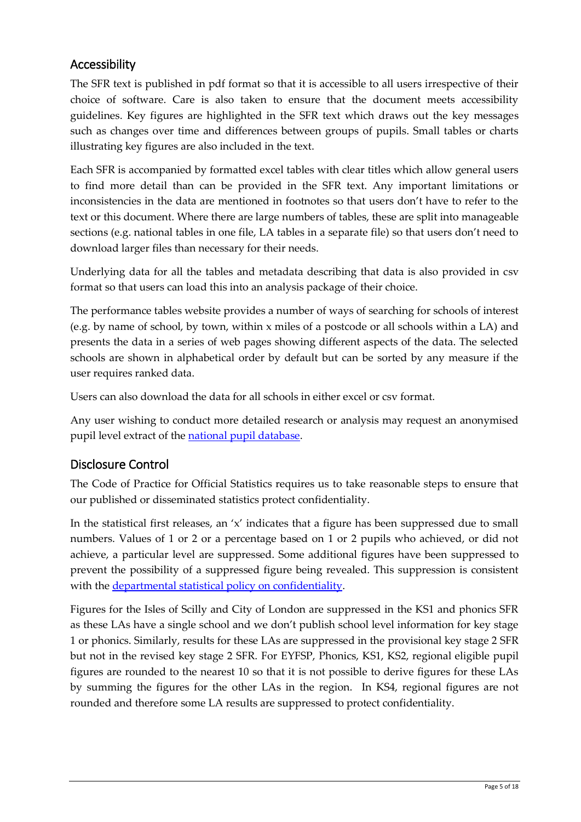#### Accessibility

The SFR text is published in pdf format so that it is accessible to all users irrespective of their choice of software. Care is also taken to ensure that the document meets accessibility guidelines. Key figures are highlighted in the SFR text which draws out the key messages such as changes over time and differences between groups of pupils. Small tables or charts illustrating key figures are also included in the text.

Each SFR is accompanied by formatted excel tables with clear titles which allow general users to find more detail than can be provided in the SFR text. Any important limitations or inconsistencies in the data are mentioned in footnotes so that users don't have to refer to the text or this document. Where there are large numbers of tables, these are split into manageable sections (e.g. national tables in one file, LA tables in a separate file) so that users don't need to download larger files than necessary for their needs.

Underlying data for all the tables and metadata describing that data is also provided in csv format so that users can load this into an analysis package of their choice.

The performance tables website provides a number of ways of searching for schools of interest (e.g. by name of school, by town, within x miles of a postcode or all schools within a LA) and presents the data in a series of web pages showing different aspects of the data. The selected schools are shown in alphabetical order by default but can be sorted by any measure if the user requires ranked data.

Users can also download the data for all schools in either excel or csv format.

Any user wishing to conduct more detailed research or analysis may request an anonymised pupil level extract of the [national pupil database.](https://www.gov.uk/national-pupil-database-apply-for-a-data-extract)

#### <span id="page-4-0"></span>Disclosure Control

The Code of Practice for Official Statistics requires us to take reasonable steps to ensure that our published or disseminated statistics protect confidentiality.

In the statistical first releases, an 'x' indicates that a figure has been suppressed due to small numbers. Values of 1 or 2 or a percentage based on 1 or 2 pupils who achieved, or did not achieve, a particular level are suppressed. Some additional figures have been suppressed to prevent the possibility of a suppressed figure being revealed. This suppression is consistent with the [departmental statistical policy on confidentiality.](http://www.gov.uk/government/uploads/system/uploads/attachment_data/file/190768/Confidentiality_Policy_v4.pdf)

Figures for the Isles of Scilly and City of London are suppressed in the KS1 and phonics SFR as these LAs have a single school and we don't publish school level information for key stage 1 or phonics. Similarly, results for these LAs are suppressed in the provisional key stage 2 SFR but not in the revised key stage 2 SFR. For EYFSP, Phonics, KS1, KS2, regional eligible pupil figures are rounded to the nearest 10 so that it is not possible to derive figures for these LAs by summing the figures for the other LAs in the region. In KS4, regional figures are not rounded and therefore some LA results are suppressed to protect confidentiality.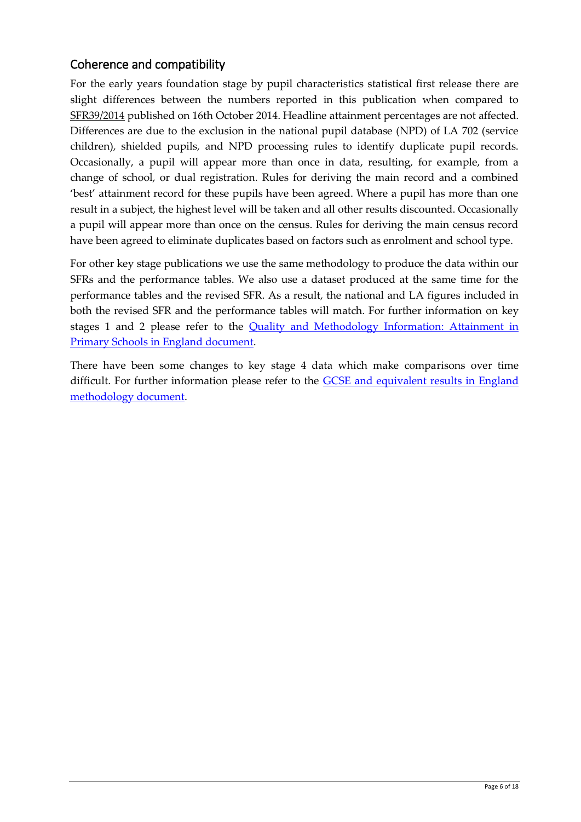#### <span id="page-5-0"></span>Coherence and compatibility

For the early years foundation stage by pupil characteristics statistical first release there are slight differences between the numbers reported in this publication when compared to [SFR39/2014](https://www.gov.uk/government/statistics/early-years-foundation-stage-profile-results-2013-to-2014) published on 16th October 2014. Headline attainment percentages are not affected. Differences are due to the exclusion in the national pupil database (NPD) of LA 702 (service children), shielded pupils, and NPD processing rules to identify duplicate pupil records. Occasionally, a pupil will appear more than once in data, resulting, for example, from a change of school, or dual registration. Rules for deriving the main record and a combined 'best' attainment record for these pupils have been agreed. Where a pupil has more than one result in a subject, the highest level will be taken and all other results discounted. Occasionally a pupil will appear more than once on the census. Rules for deriving the main census record have been agreed to eliminate duplicates based on factors such as enrolment and school type.

For other key stage publications we use the same methodology to produce the data within our SFRs and the performance tables. We also use a dataset produced at the same time for the performance tables and the revised SFR. As a result, the national and LA figures included in both the revised SFR and the performance tables will match. For further information on key stages 1 and 2 please refer to the [Quality and Methodology Information: Attainment in](https://www.gov.uk/government/uploads/system/uploads/attachment_data/file/356946/SFR34_2014_Qualityandmethodology.pdf)  [Primary Schools in England document.](https://www.gov.uk/government/uploads/system/uploads/attachment_data/file/356946/SFR34_2014_Qualityandmethodology.pdf)

There have been some changes to key stage 4 data which make comparisons over time difficult. For further information please refer to the **GCSE** and equivalent results in England [methodology document.](https://www.gov.uk/government/uploads/system/uploads/attachment_data/file/366555/SFR41_2014_QualityandMethodology.pdf)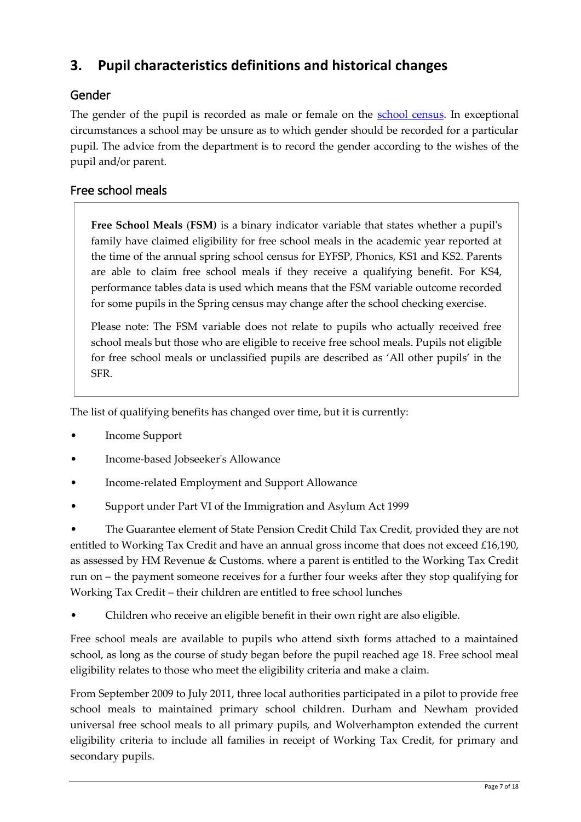## <span id="page-6-0"></span>**3. Pupil characteristics definitions and historical changes**

#### <span id="page-6-1"></span>Gender

The gender of the pupil is recorded as male or female on the [school census.](https://www.gov.uk/government/collections/school-census) In exceptional circumstances a school may be unsure as to which gender should be recorded for a particular pupil. The advice from the department is to record the gender according to the wishes of the pupil and/or parent.

#### <span id="page-6-2"></span>Free school meals

**Free School Meals** (**FSM)** is a binary indicator variable that states whether a pupil's family have claimed eligibility for free school meals in the academic year reported at the time of the annual spring school census for EYFSP, Phonics, KS1 and KS2. Parents are able to claim free school meals if they receive a qualifying benefit. For KS4, performance tables data is used which means that the FSM variable outcome recorded for some pupils in the Spring census may change after the school checking exercise.

Please note: The FSM variable does not relate to pupils who actually received free school meals but those who are eligible to receive free school meals. Pupils not eligible for free school meals or unclassified pupils are described as 'All other pupils' in the SFR.

The list of qualifying benefits has changed over time, but it is currently:

- Income Support
- Income-based Jobseeker's Allowance
- Income-related Employment and Support Allowance
- Support under Part VI of the Immigration and Asylum Act 1999

• The Guarantee element of State Pension Credit Child Tax Credit, provided they are not entitled to Working Tax Credit and have an annual gross income that does not exceed £16,190, as assessed by HM Revenue & Customs. where a parent is entitled to the Working Tax Credit run on – the payment someone receives for a further four weeks after they stop qualifying for Working Tax Credit – their children are entitled to free school lunches

• Children who receive an eligible benefit in their own right are also eligible.

Free school meals are available to pupils who attend sixth forms attached to a maintained school, as long as the course of study began before the pupil reached age 18. Free school meal eligibility relates to those who meet the eligibility criteria and make a claim.

From September 2009 to July 2011, three local authorities participated in a pilot to provide free school meals to maintained primary school children. Durham and Newham provided universal free school meals to all primary pupils, and Wolverhampton extended the current eligibility criteria to include all families in receipt of Working Tax Credit, for primary and secondary pupils.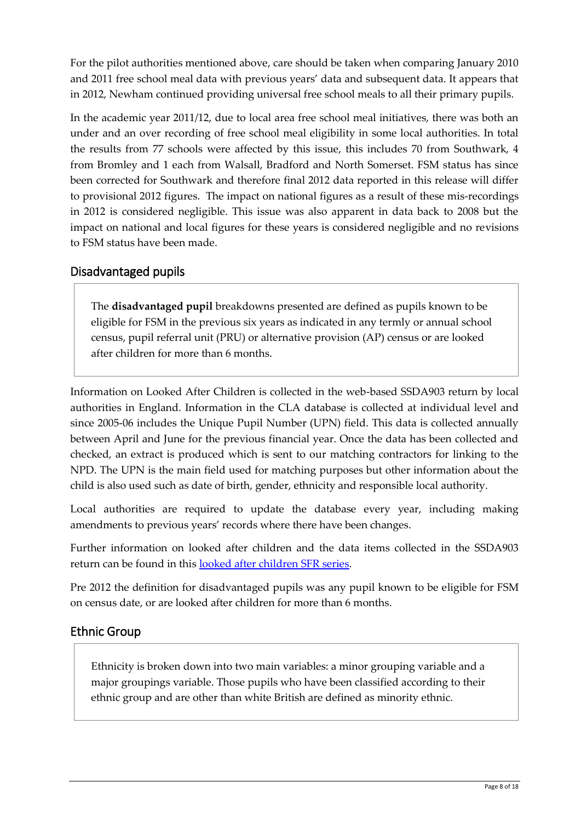For the pilot authorities mentioned above, care should be taken when comparing January 2010 and 2011 free school meal data with previous years' data and subsequent data. It appears that in 2012, Newham continued providing universal free school meals to all their primary pupils.

In the academic year 2011/12, due to local area free school meal initiatives, there was both an under and an over recording of free school meal eligibility in some local authorities. In total the results from 77 schools were affected by this issue, this includes 70 from Southwark, 4 from Bromley and 1 each from Walsall, Bradford and North Somerset. FSM status has since been corrected for Southwark and therefore final 2012 data reported in this release will differ to provisional 2012 figures. The impact on national figures as a result of these mis-recordings in 2012 is considered negligible. This issue was also apparent in data back to 2008 but the impact on national and local figures for these years is considered negligible and no revisions to FSM status have been made.

#### <span id="page-7-0"></span>Disadvantaged pupils

The **disadvantaged pupil** breakdowns presented are defined as pupils known to be eligible for FSM in the previous six years as indicated in any termly or annual school census, pupil referral unit (PRU) or alternative provision (AP) census or are looked after children for more than 6 months.

Information on Looked After Children is collected in the web-based SSDA903 return by local authorities in England. Information in the CLA database is collected at individual level and since 2005-06 includes the Unique Pupil Number (UPN) field. This data is collected annually between April and June for the previous financial year. Once the data has been collected and checked, an extract is produced which is sent to our matching contractors for linking to the NPD. The UPN is the main field used for matching purposes but other information about the child is also used such as date of birth, gender, ethnicity and responsible local authority.

Local authorities are required to update the database every year, including making amendments to previous years' records where there have been changes.

Further information on looked after children and the data items collected in the SSDA903 return can be found in this [looked after children SFR series.](https://www.gov.uk/government/collections/statistics-looked-after-children)

Pre 2012 the definition for disadvantaged pupils was any pupil known to be eligible for FSM on census date, or are looked after children for more than 6 months.

#### <span id="page-7-1"></span>Ethnic Group

Ethnicity is broken down into two main variables: a minor grouping variable and a major groupings variable. Those pupils who have been classified according to their ethnic group and are other than white British are defined as minority ethnic.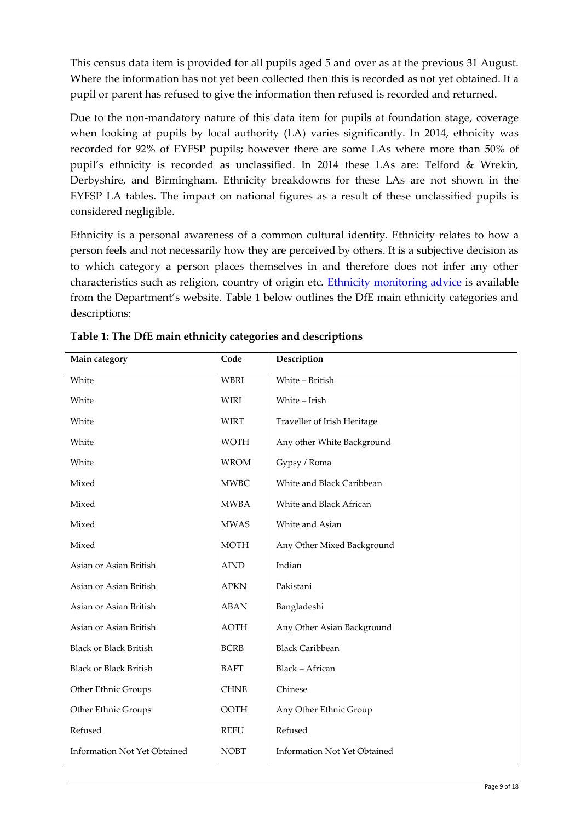This census data item is provided for all pupils aged 5 and over as at the previous 31 August. Where the information has not yet been collected then this is recorded as not yet obtained. If a pupil or parent has refused to give the information then refused is recorded and returned.

Due to the non-mandatory nature of this data item for pupils at foundation stage, coverage when looking at pupils by local authority (LA) varies significantly. In 2014, ethnicity was recorded for 92% of EYFSP pupils; however there are some LAs where more than 50% of pupil's ethnicity is recorded as unclassified. In 2014 these LAs are: Telford & Wrekin, Derbyshire, and Birmingham. Ethnicity breakdowns for these LAs are not shown in the EYFSP LA tables. The impact on national figures as a result of these unclassified pupils is considered negligible.

Ethnicity is a personal awareness of a common cultural identity. Ethnicity relates to how a person feels and not necessarily how they are perceived by others. It is a subjective decision as to which category a person places themselves in and therefore does not infer any other characteristics such as religion, country of origin etc. [Ethnicity monitoring advice](http://webarchive.nationalarchives.gov.uk/20130903145456/http:/www.education.gov.uk/schools/pupilsupport/inclusionandlearnersupport/mea/a0077022/ethnic-monitoring) is available from the Department's website. Table 1 below outlines the DfE main ethnicity categories and descriptions:

| Main category                       | Code                         | Description                         |  |
|-------------------------------------|------------------------------|-------------------------------------|--|
| White                               | <b>WBRI</b>                  | White - British                     |  |
| White                               | <b>WIRI</b>                  | White - Irish                       |  |
| White                               | <b>WIRT</b>                  | Traveller of Irish Heritage         |  |
| White                               | <b>WOTH</b>                  | Any other White Background          |  |
| White                               | <b>WROM</b>                  | Gypsy / Roma                        |  |
| Mixed                               | <b>MWBC</b>                  | White and Black Caribbean           |  |
| Mixed                               | <b>MWBA</b>                  | White and Black African             |  |
| Mixed                               | <b>MWAS</b>                  | White and Asian                     |  |
| Mixed                               | <b>MOTH</b>                  | Any Other Mixed Background          |  |
| Asian or Asian British              | $\mathop{\rm AIND}\nolimits$ | Indian                              |  |
| Asian or Asian British              | <b>APKN</b>                  | Pakistani                           |  |
| Asian or Asian British              | <b>ABAN</b>                  | Bangladeshi                         |  |
| Asian or Asian British              | <b>AOTH</b>                  | Any Other Asian Background          |  |
| <b>Black or Black British</b>       | <b>BCRB</b>                  | <b>Black Caribbean</b>              |  |
| <b>Black or Black British</b>       | <b>BAFT</b>                  | Black - African                     |  |
| Other Ethnic Groups                 | <b>CHNE</b>                  | Chinese                             |  |
| Other Ethnic Groups                 | <b>OOTH</b>                  | Any Other Ethnic Group              |  |
| Refused                             | <b>REFU</b>                  | Refused                             |  |
| <b>Information Not Yet Obtained</b> | <b>NOBT</b>                  | <b>Information Not Yet Obtained</b> |  |

**Table 1: The DfE main ethnicity categories and descriptions**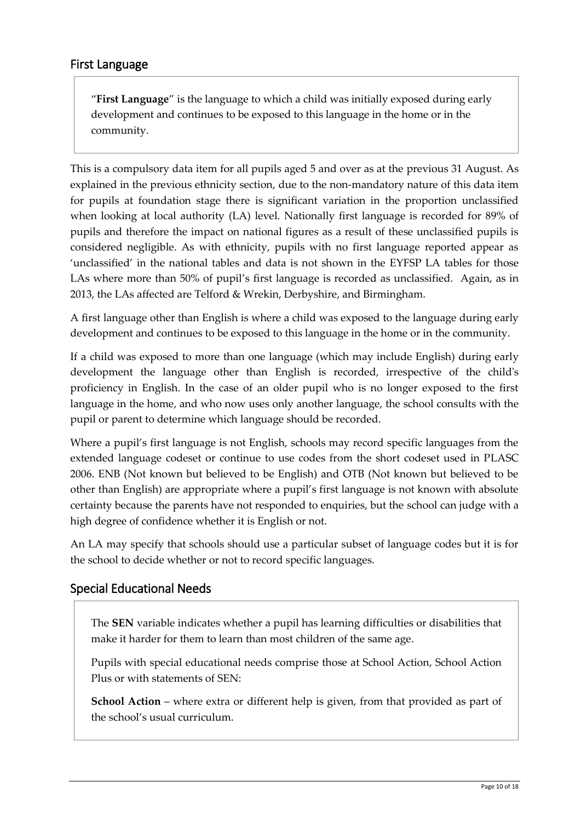<span id="page-9-0"></span>"**First Language**" is the language to which a child was initially exposed during early development and continues to be exposed to this language in the home or in the community.

This is a compulsory data item for all pupils aged 5 and over as at the previous 31 August. As explained in the previous ethnicity section, due to the non-mandatory nature of this data item for pupils at foundation stage there is significant variation in the proportion unclassified when looking at local authority (LA) level. Nationally first language is recorded for 89% of pupils and therefore the impact on national figures as a result of these unclassified pupils is considered negligible. As with ethnicity, pupils with no first language reported appear as 'unclassified' in the national tables and data is not shown in the EYFSP LA tables for those LAs where more than 50% of pupil's first language is recorded as unclassified. Again, as in 2013, the LAs affected are Telford & Wrekin, Derbyshire, and Birmingham.

A first language other than English is where a child was exposed to the language during early development and continues to be exposed to this language in the home or in the community.

If a child was exposed to more than one language (which may include English) during early development the language other than English is recorded, irrespective of the child's proficiency in English. In the case of an older pupil who is no longer exposed to the first language in the home, and who now uses only another language, the school consults with the pupil or parent to determine which language should be recorded.

Where a pupil's first language is not English, schools may record specific languages from the extended language codeset or continue to use codes from the short codeset used in PLASC 2006. ENB (Not known but believed to be English) and OTB (Not known but believed to be other than English) are appropriate where a pupil's first language is not known with absolute certainty because the parents have not responded to enquiries, but the school can judge with a high degree of confidence whether it is English or not.

An LA may specify that schools should use a particular subset of language codes but it is for the school to decide whether or not to record specific languages.

#### <span id="page-9-1"></span>Special Educational Needs

The **SEN** variable indicates whether a pupil has learning difficulties or disabilities that make it harder for them to learn than most children of the same age.

Pupils with special educational needs comprise those at School Action, School Action Plus or with statements of SEN:

**School Action** – where extra or different help is given, from that provided as part of the school's usual curriculum.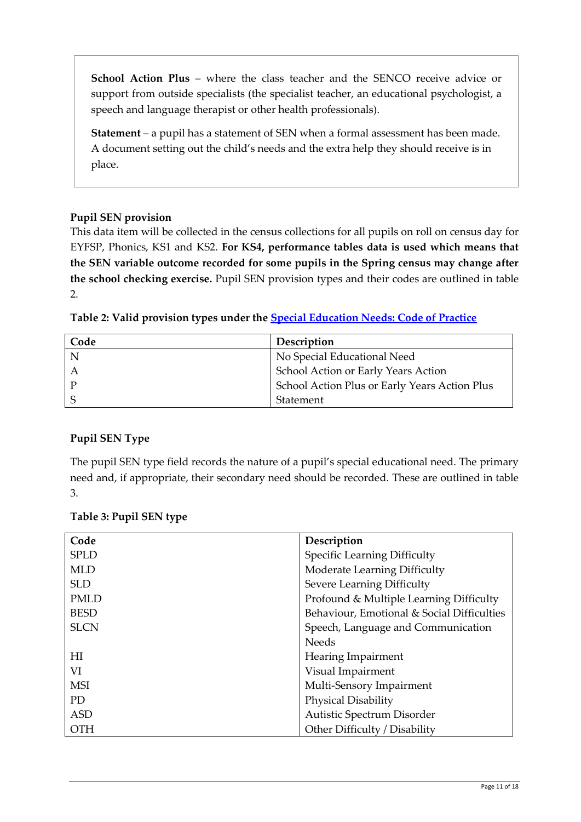**School Action Plus** – where the class teacher and the SENCO receive advice or support from outside specialists (the specialist teacher, an educational psychologist, a speech and language therapist or other health professionals).

**Statement** – a pupil has a statement of SEN when a formal assessment has been made. A document setting out the child's needs and the extra help they should receive is in place.

#### **Pupil SEN provision**

This data item will be collected in the census collections for all pupils on roll on census day for EYFSP, Phonics, KS1 and KS2. **For KS4, performance tables data is used which means that the SEN variable outcome recorded for some pupils in the Spring census may change after the school checking exercise.** Pupil SEN provision types and their codes are outlined in table 2.

| Table 2: Valid provision types under the <u>Special Education Needs: Code of Practice</u> |  |  |  |  |  |  |
|-------------------------------------------------------------------------------------------|--|--|--|--|--|--|
|-------------------------------------------------------------------------------------------|--|--|--|--|--|--|

| Code | Description                                   |
|------|-----------------------------------------------|
| N    | No Special Educational Need                   |
|      | School Action or Early Years Action           |
|      | School Action Plus or Early Years Action Plus |
|      | Statement                                     |

#### **Pupil SEN Type**

The pupil SEN type field records the nature of a pupil's special educational need. The primary need and, if appropriate, their secondary need should be recorded. These are outlined in table 3.

| Code        | Description                                |
|-------------|--------------------------------------------|
| <b>SPLD</b> | Specific Learning Difficulty               |
| <b>MLD</b>  | Moderate Learning Difficulty               |
| <b>SLD</b>  | <b>Severe Learning Difficulty</b>          |
| <b>PMLD</b> | Profound & Multiple Learning Difficulty    |
| <b>BESD</b> | Behaviour, Emotional & Social Difficulties |
| <b>SLCN</b> | Speech, Language and Communication         |
|             | <b>Needs</b>                               |
| НI          | Hearing Impairment                         |
| VI          | Visual Impairment                          |
| <b>MSI</b>  | Multi-Sensory Impairment                   |
| PD          | Physical Disability                        |
| <b>ASD</b>  | Autistic Spectrum Disorder                 |
| <b>OTH</b>  | Other Difficulty / Disability              |

#### **Table 3: Pupil SEN type**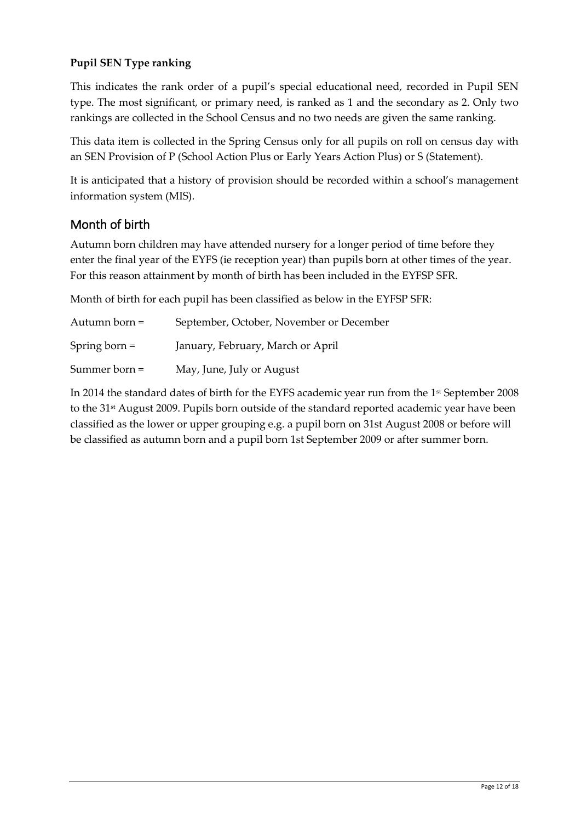#### **Pupil SEN Type ranking**

This indicates the rank order of a pupil's special educational need, recorded in Pupil SEN type. The most significant, or primary need, is ranked as 1 and the secondary as 2. Only two rankings are collected in the School Census and no two needs are given the same ranking.

This data item is collected in the Spring Census only for all pupils on roll on census day with an SEN Provision of P (School Action Plus or Early Years Action Plus) or S (Statement).

It is anticipated that a history of provision should be recorded within a school's management information system (MIS).

#### Month of birth

Autumn born children may have attended nursery for a longer period of time before they enter the final year of the EYFS (ie reception year) than pupils born at other times of the year. For this reason attainment by month of birth has been included in the EYFSP SFR.

Month of birth for each pupil has been classified as below in the EYFSP SFR:

| Autumn born $=$ | September, October, November or December |
|-----------------|------------------------------------------|
| Spring born $=$ | January, February, March or April        |
| Summer born $=$ | May, June, July or August                |

In 2014 the standard dates of birth for the EYFS academic year run from the 1st September 2008 to the 31<sup>st</sup> August 2009. Pupils born outside of the standard reported academic year have been classified as the lower or upper grouping e.g. a pupil born on 31st August 2008 or before will be classified as autumn born and a pupil born 1st September 2009 or after summer born.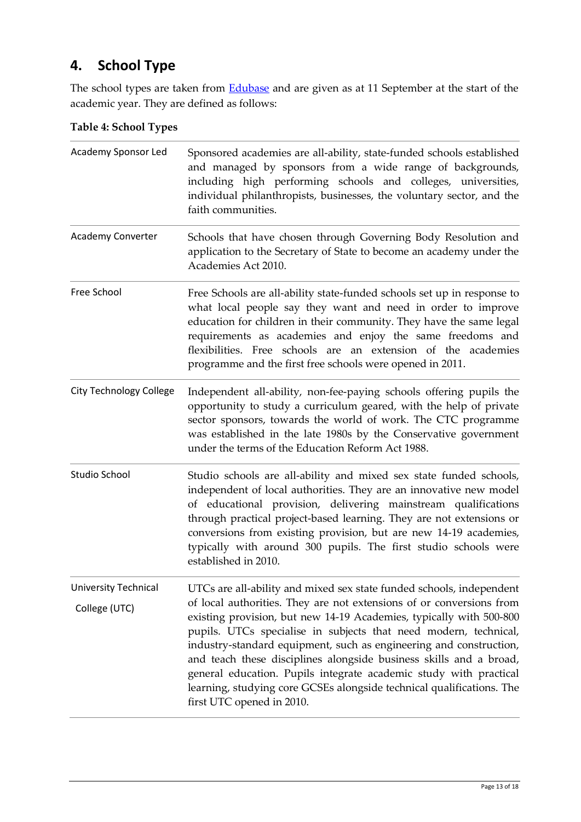## <span id="page-12-0"></span>**4. School Type**

The school types are taken from **Edubase** and are given as at 11 September at the start of the academic year. They are defined as follows:

#### **Table 4: School Types**

| Academy Sponsor Led                          | Sponsored academies are all-ability, state-funded schools established<br>and managed by sponsors from a wide range of backgrounds,<br>including high performing schools and colleges, universities,<br>individual philanthropists, businesses, the voluntary sector, and the<br>faith communities.                                                                                                                                                                                                                                                                                                             |
|----------------------------------------------|----------------------------------------------------------------------------------------------------------------------------------------------------------------------------------------------------------------------------------------------------------------------------------------------------------------------------------------------------------------------------------------------------------------------------------------------------------------------------------------------------------------------------------------------------------------------------------------------------------------|
| Academy Converter                            | Schools that have chosen through Governing Body Resolution and<br>application to the Secretary of State to become an academy under the<br>Academies Act 2010.                                                                                                                                                                                                                                                                                                                                                                                                                                                  |
| Free School                                  | Free Schools are all-ability state-funded schools set up in response to<br>what local people say they want and need in order to improve<br>education for children in their community. They have the same legal<br>requirements as academies and enjoy the same freedoms and<br>flexibilities. Free schools are an extension of the academies<br>programme and the first free schools were opened in 2011.                                                                                                                                                                                                      |
| <b>City Technology College</b>               | Independent all-ability, non-fee-paying schools offering pupils the<br>opportunity to study a curriculum geared, with the help of private<br>sector sponsors, towards the world of work. The CTC programme<br>was established in the late 1980s by the Conservative government<br>under the terms of the Education Reform Act 1988.                                                                                                                                                                                                                                                                            |
| Studio School                                | Studio schools are all-ability and mixed sex state funded schools,<br>independent of local authorities. They are an innovative new model<br>of educational provision, delivering mainstream qualifications<br>through practical project-based learning. They are not extensions or<br>conversions from existing provision, but are new 14-19 academies,<br>typically with around 300 pupils. The first studio schools were<br>established in 2010.                                                                                                                                                             |
| <b>University Technical</b><br>College (UTC) | UTCs are all-ability and mixed sex state funded schools, independent<br>of local authorities. They are not extensions of or conversions from<br>existing provision, but new 14-19 Academies, typically with 500-800<br>pupils. UTCs specialise in subjects that need modern, technical,<br>industry-standard equipment, such as engineering and construction,<br>and teach these disciplines alongside business skills and a broad,<br>general education. Pupils integrate academic study with practical<br>learning, studying core GCSEs alongside technical qualifications. The<br>first UTC opened in 2010. |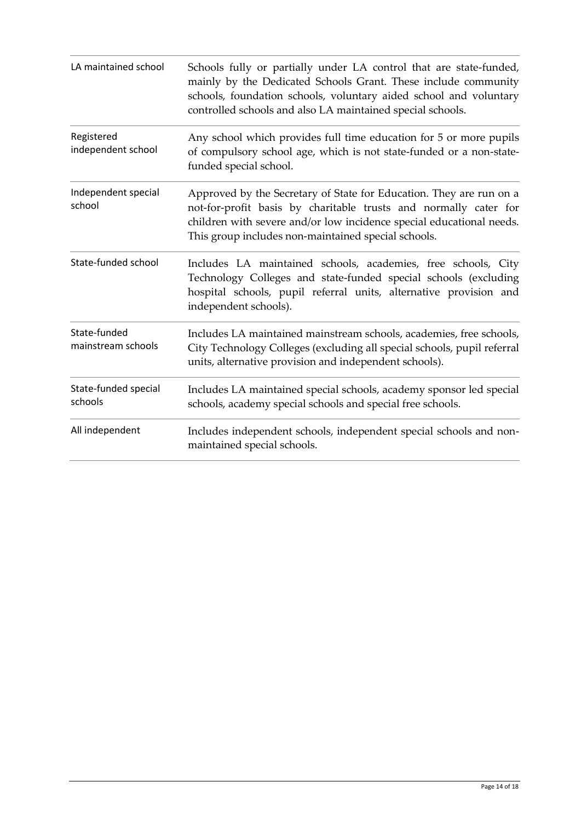| LA maintained school               | Schools fully or partially under LA control that are state-funded,<br>mainly by the Dedicated Schools Grant. These include community<br>schools, foundation schools, voluntary aided school and voluntary<br>controlled schools and also LA maintained special schools. |
|------------------------------------|-------------------------------------------------------------------------------------------------------------------------------------------------------------------------------------------------------------------------------------------------------------------------|
| Registered<br>independent school   | Any school which provides full time education for 5 or more pupils<br>of compulsory school age, which is not state-funded or a non-state-<br>funded special school.                                                                                                     |
| Independent special<br>school      | Approved by the Secretary of State for Education. They are run on a<br>not-for-profit basis by charitable trusts and normally cater for<br>children with severe and/or low incidence special educational needs.<br>This group includes non-maintained special schools.  |
| State-funded school                | Includes LA maintained schools, academies, free schools, City<br>Technology Colleges and state-funded special schools (excluding<br>hospital schools, pupil referral units, alternative provision and<br>independent schools).                                          |
| State-funded<br>mainstream schools | Includes LA maintained mainstream schools, academies, free schools,<br>City Technology Colleges (excluding all special schools, pupil referral<br>units, alternative provision and independent schools).                                                                |
| State-funded special<br>schools    | Includes LA maintained special schools, academy sponsor led special<br>schools, academy special schools and special free schools.                                                                                                                                       |
| All independent                    | Includes independent schools, independent special schools and non-<br>maintained special schools.                                                                                                                                                                       |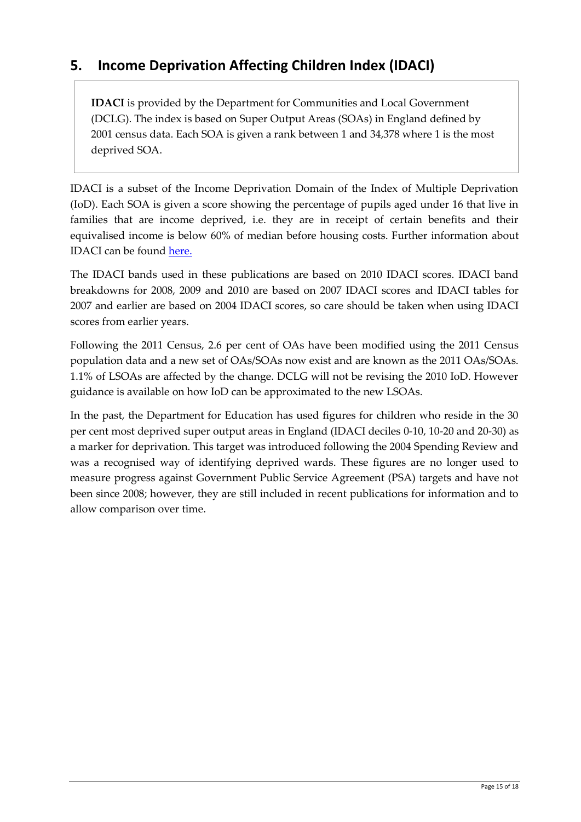### <span id="page-14-0"></span>**5. Income Deprivation Affecting Children Index (IDACI)**

**IDACI** is provided by the Department for Communities and Local Government (DCLG). The index is based on Super Output Areas (SOAs) in England defined by 2001 census data. Each SOA is given a rank between 1 and 34,378 where 1 is the most deprived SOA.

IDACI is a subset of the Income Deprivation Domain of the Index of Multiple Deprivation (IoD). Each SOA is given a score showing the percentage of pupils aged under 16 that live in families that are income deprived, i.e. they are in receipt of certain benefits and their equivalised income is below 60% of median before housing costs. Further information about IDACI can be found [here.](https://www.gov.uk/government/publications/english-indices-of-deprivation-2010)

The IDACI bands used in these publications are based on 2010 IDACI scores. IDACI band breakdowns for 2008, 2009 and 2010 are based on 2007 IDACI scores and IDACI tables for 2007 and earlier are based on 2004 IDACI scores, so care should be taken when using IDACI scores from earlier years.

Following the 2011 Census, 2.6 per cent of OAs have been modified using the 2011 Census population data and a new set of OAs/SOAs now exist and are known as the 2011 OAs/SOAs. 1.1% of LSOAs are affected by the change. DCLG will not be revising the 2010 IoD. However guidance is available on how IoD can be approximated to the new LSOAs.

In the past, the Department for Education has used figures for children who reside in the 30 per cent most deprived super output areas in England (IDACI deciles 0-10, 10-20 and 20-30) as a marker for deprivation. This target was introduced following the 2004 Spending Review and was a recognised way of identifying deprived wards. These figures are no longer used to measure progress against Government Public Service Agreement (PSA) targets and have not been since 2008; however, they are still included in recent publications for information and to allow comparison over time.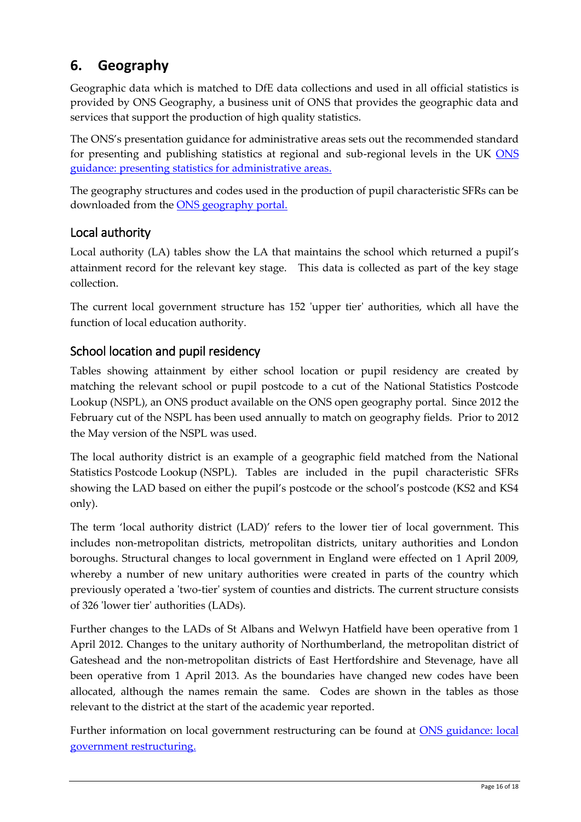## <span id="page-15-0"></span>**6. Geography**

Geographic data which is matched to DfE data collections and used in all official statistics is provided by ONS Geography, a business unit of ONS that provides the geographic data and services that support the production of high quality statistics.

The ONS's presentation guidance for administrative areas sets out the recommended standard for presenting and publishing statistics at regional and sub-regional levels in the UK ONS [guidance: presenting statistics for administrative areas.](http://www.ons.gov.uk/ons/guide-method/geography/geographic-policy/best-practice-guidance/presentation-order-guidance/administrative-areas/index.html)

The geography structures and codes used in the production of pupil characteristic SFRs can be downloaded from the [ONS geography portal.](https://geoportal.statistics.gov.uk/geoportal/catalog/main/home.page)

#### <span id="page-15-1"></span>Local authority

Local authority (LA) tables show the LA that maintains the school which returned a pupil's attainment record for the relevant key stage. This data is collected as part of the key stage collection.

The current local government structure has 152 'upper tier' authorities, which all have the function of local education authority.

#### <span id="page-15-2"></span>School location and pupil residency

Tables showing attainment by either school location or pupil residency are created by matching the relevant school or pupil postcode to a cut of the National Statistics Postcode Lookup (NSPL), an ONS product available on the ONS open geography portal. Since 2012 the February cut of the NSPL has been used annually to match on geography fields. Prior to 2012 the May version of the NSPL was used.

The local authority district is an example of a geographic field matched from the National Statistics Postcode Lookup (NSPL). Tables are included in the pupil characteristic SFRs showing the LAD based on either the pupil's postcode or the school's postcode (KS2 and KS4 only).

The term 'local authority district (LAD)' refers to the lower tier of local government. This includes non-metropolitan districts, metropolitan districts, unitary authorities and London boroughs. Structural changes to local government in England were effected on 1 April 2009, whereby a number of new unitary authorities were created in parts of the country which previously operated a 'two-tier' system of counties and districts. The current structure consists of 326 'lower tier' authorities (LADs).

Further changes to the LADs of St Albans and Welwyn Hatfield have been operative from 1 April 2012. Changes to the unitary authority of Northumberland, the metropolitan district of Gateshead and the non-metropolitan districts of East Hertfordshire and Stevenage, have all been operative from 1 April 2013. As the boundaries have changed new codes have been allocated, although the names remain the same. Codes are shown in the tables as those relevant to the district at the start of the academic year reported.

Further information on local government restructuring can be found at ONS guidance: local [government restructuring.](http://www.ons.gov.uk/ons/guide-method/geography/beginner-s-guide/administrative/our-changing-geography/local-government-restructuring/index.html)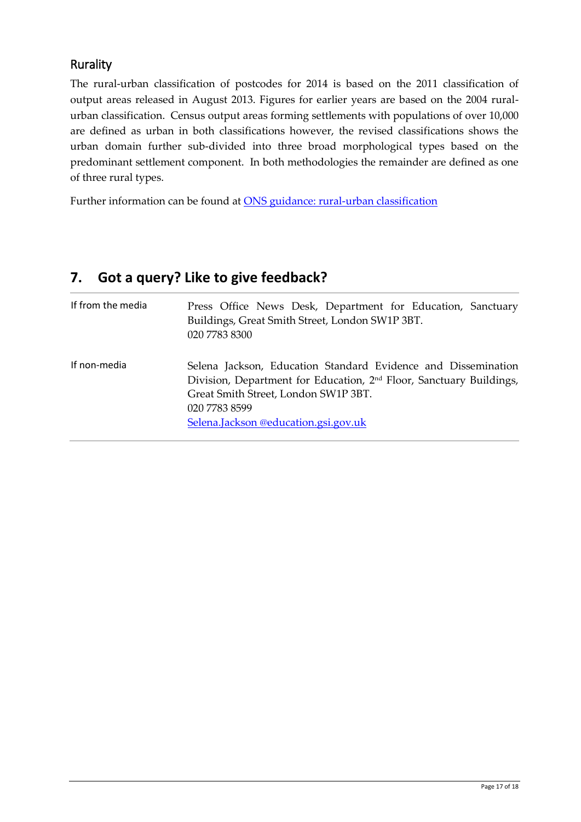#### <span id="page-16-0"></span>Rurality

The rural-urban classification of postcodes for 2014 is based on the 2011 classification of output areas released in August 2013. Figures for earlier years are based on the 2004 ruralurban classification. Census output areas forming settlements with populations of over 10,000 are defined as urban in both classifications however, the revised classifications shows the urban domain further sub-divided into three broad morphological types based on the predominant settlement component. In both methodologies the remainder are defined as one of three rural types.

Further information can be found at **ONS** guidance: rural-urban classification

## <span id="page-16-1"></span>**7. Got a query? Like to give feedback?**

| If from the media | Press Office News Desk, Department for Education, Sanctuary<br>Buildings, Great Smith Street, London SW1P 3BT.<br>020 7783 8300                                                                                                                   |
|-------------------|---------------------------------------------------------------------------------------------------------------------------------------------------------------------------------------------------------------------------------------------------|
| If non-media      | Selena Jackson, Education Standard Evidence and Dissemination<br>Division, Department for Education, 2 <sup>nd</sup> Floor, Sanctuary Buildings,<br>Great Smith Street, London SW1P 3BT.<br>020 7783 8599<br>Selena.Jackson @education.gsi.gov.uk |